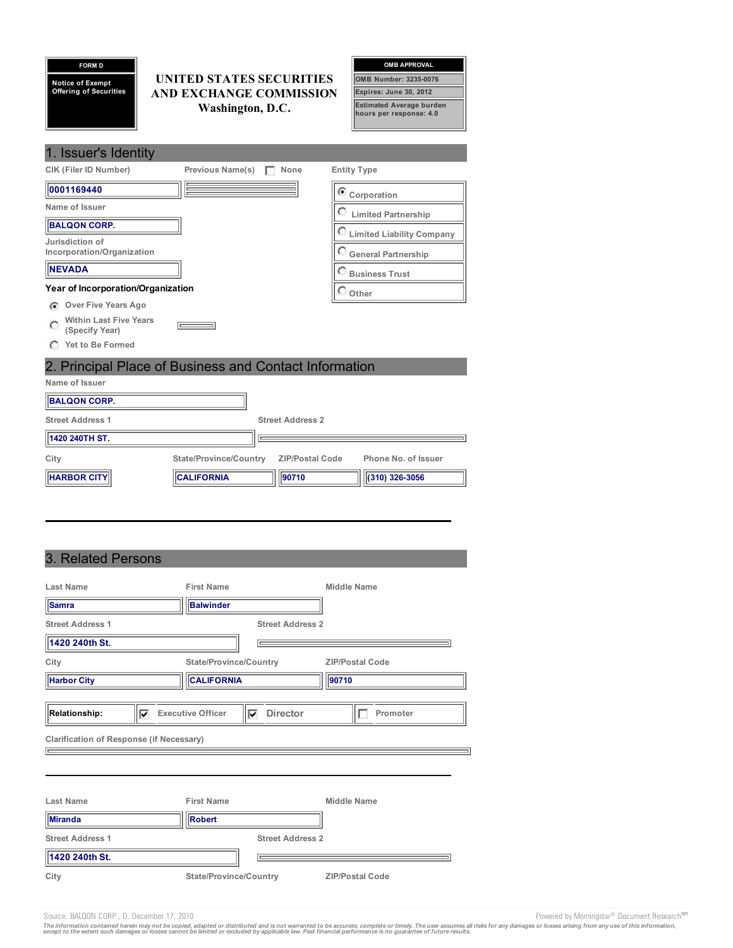| <b>FORM D</b>                 |                          |                                                                                | <b>OMB APPROVAL</b>                |
|-------------------------------|--------------------------|--------------------------------------------------------------------------------|------------------------------------|
| <b>Notice of Exempt</b>       | UNITED STATES SECURITIES |                                                                                | <b>OMB Number: 3235-0076</b>       |
| <b>Offering of Securities</b> | AND EXCHANGE COMMISSION  |                                                                                | Expires: June 30, 2012             |
|                               |                          | <b>Estimated Average burden</b><br>Washington, D.C.<br>hours per response: 4.0 |                                    |
|                               |                          |                                                                                |                                    |
| 1. Issuer's Identity          |                          |                                                                                |                                    |
| <b>CIK (Filer ID Number)</b>  | <b>Previous Name(s)</b>  | None                                                                           | <b>Entity Type</b>                 |
| 0001169440                    |                          |                                                                                | $\mathbf C$ Corporation            |
| Name of Issuer                |                          |                                                                                | <b>Limited Partnership</b>         |
| <b>BALQON CORP.</b>           |                          |                                                                                | <b>C</b> Limited Liability Company |
| Jurisdiction of               |                          |                                                                                |                                    |
| Incorporation/Organization    |                          |                                                                                | General Partnership                |
| <b>NEVADA</b>                 |                          |                                                                                | <b>Business Trust</b>              |

**Other**

### **Year of Incorporation/Organization**

- **Over Five Years Ago**
- **Within Last Five Years**  $\circ$  $\qquad \qquad =$ **(Specify Year)**
- **Yet to Be Formed**

**Name of Issuer**

# 2. Principal Place of Business and Contact Information

| Nathe Of 1990et         |                        |                         |                     |
|-------------------------|------------------------|-------------------------|---------------------|
| <b>BALQON CORP.</b>     |                        |                         |                     |
| <b>Street Address 1</b> |                        | <b>Street Address 2</b> |                     |
| 1420 240TH ST.          |                        |                         |                     |
| City                    | State/Province/Country | <b>ZIP/Postal Code</b>  | Phone No. of Issuer |
| <b>HARBOR CITY</b>      | <b>CALIFORNIA</b>      | 190710                  | $(310)$ 326-3056    |

# 3. Related Persons

| <b>Last Name</b>                                | <b>First Name</b>             | Middle Name                 |
|-------------------------------------------------|-------------------------------|-----------------------------|
| <b>Samra</b>                                    | Balwinder                     |                             |
| <b>Street Address 1</b>                         |                               | <b>Street Address 2</b>     |
| 1420 240th St.                                  |                               |                             |
| City                                            | <b>State/Province/Country</b> | <b>ZIP/Postal Code</b>      |
| <b>Harbor City</b>                              | <b>CALIFORNIA</b>             | 90710                       |
|                                                 |                               |                             |
| Relationship:<br>⊽                              | <b>Executive Officer</b><br>M | <b>Director</b><br>Promoter |
| <b>Clarification of Response (if Necessary)</b> |                               |                             |
|                                                 |                               |                             |
|                                                 |                               |                             |
| Last Name                                       | <b>First Name</b>             | Middle Name                 |
| Miranda                                         | <b>Robert</b>                 |                             |
| <b>Street Address 1</b>                         |                               | <b>Street Address 2</b>     |
| 1420 240th St.                                  |                               |                             |
| City                                            | <b>State/Province/Country</b> | <b>ZIP/Postal Code</b>      |

Source: BALQON CORP., D, December 17, 2010 **Powered by Morningstar®** Document Research SM

The information contained herein may not be copied, adapted or distributed and is not warranted to be accurate, complete or timely. The user assumes all risks for any damages or losses arising from any use of this informat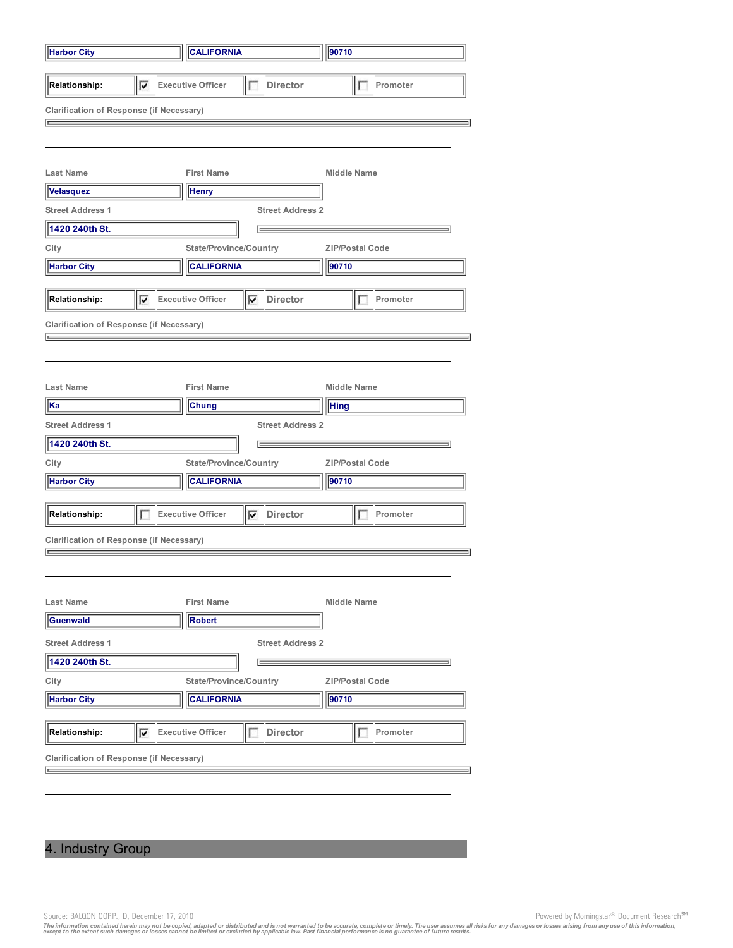| <b>Harbor City</b>                                 |                            | <b>CALIFORNIA</b>             |                         | 90710                  |  |
|----------------------------------------------------|----------------------------|-------------------------------|-------------------------|------------------------|--|
| <b>Relationship:</b>                               | $\nabla$ Executive Officer |                               | <b>Director</b><br>г    | Promoter<br>1.         |  |
| <b>Clarification of Response (if Necessary)</b>    |                            |                               |                         |                        |  |
|                                                    |                            |                               |                         |                        |  |
|                                                    |                            |                               |                         |                        |  |
| <b>Last Name</b>                                   |                            | <b>First Name</b>             |                         | <b>Middle Name</b>     |  |
| <b>Velasquez</b>                                   |                            | <b>Henry</b>                  |                         |                        |  |
| <b>Street Address 1</b>                            |                            |                               | <b>Street Address 2</b> |                        |  |
| 1420 240th St.                                     |                            |                               | $=$                     |                        |  |
| City                                               |                            | <b>State/Province/Country</b> |                         | <b>ZIP/Postal Code</b> |  |
| <b>Harbor City</b>                                 |                            | <b>CALIFORNIA</b>             |                         | 90710                  |  |
| <b>Relationship:</b>                               | $\nabla$ Executive Officer |                               | $\nabla$ Director       | Promoter               |  |
|                                                    |                            |                               |                         |                        |  |
| <b>Clarification of Response (if Necessary)</b>    |                            |                               |                         |                        |  |
|                                                    |                            |                               |                         |                        |  |
|                                                    |                            |                               |                         |                        |  |
| <b>Last Name</b>                                   |                            | <b>First Name</b>             |                         | <b>Middle Name</b>     |  |
| Ka                                                 |                            | Chung                         |                         | <b>Hing</b>            |  |
| <b>Street Address 1</b>                            |                            |                               | <b>Street Address 2</b> |                        |  |
| 1420 240th St.                                     |                            |                               |                         |                        |  |
| City                                               |                            | <b>State/Province/Country</b> |                         | <b>ZIP/Postal Code</b> |  |
| <b>CALIFORNIA</b><br>90710<br><b>Harbor City</b>   |                            |                               |                         |                        |  |
|                                                    |                            |                               |                         |                        |  |
| <b>Relationship:</b>                               | L                          | <b>Executive Officer</b>      | $\nabla$ Director       | Promoter<br>П          |  |
| <b>Clarification of Response (if Necessary)</b>    |                            |                               |                         |                        |  |
| $=$                                                |                            |                               |                         |                        |  |
|                                                    |                            |                               |                         |                        |  |
| Last Name                                          |                            | <b>First Name</b>             |                         | <b>Middle Name</b>     |  |
| Guenwald                                           |                            | <b>Robert</b>                 |                         |                        |  |
|                                                    |                            |                               |                         |                        |  |
| <b>Street Address 1</b><br><b>Street Address 2</b> |                            |                               |                         |                        |  |
| 1420 240th St.                                     |                            |                               | E                       |                        |  |
| City                                               |                            | <b>State/Province/Country</b> |                         | <b>ZIP/Postal Code</b> |  |
| <b>Harbor City</b>                                 |                            | <b>CALIFORNIA</b>             |                         | 90710                  |  |
| <b>Relationship:</b>                               | ⊽                          | <b>Executive Officer</b>      | Director<br>П           | Promoter               |  |
|                                                    |                            |                               |                         |                        |  |
| <b>Clarification of Response (if Necessary)</b>    |                            |                               |                         |                        |  |
|                                                    |                            |                               |                         |                        |  |
|                                                    |                            |                               |                         |                        |  |

# 4. Industry Group

Source: BALQON CORP., D, December 17, 2010<br>The information contained herein may not be copied, adapted or distributed and is not warranted to be accurate, complete or timely. The user assumes all risks for any damages or l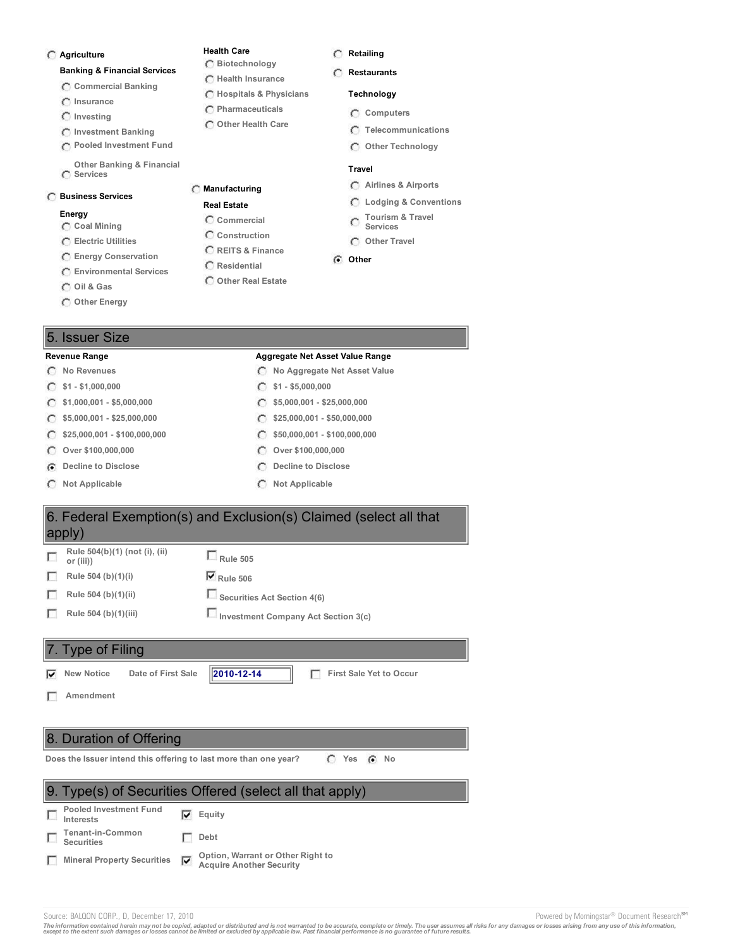### **Agriculture**

### **Banking & Financial Services**

- **Commercial Banking**
- **Insurance**
- **Investing**
- **Investment Banking**
- **Pooled Investment Fund**
- **Other Banking & Financial Services**

### **Business Services**

### **Energy**

- **Coal Mining**
- **Electric Utilities**
- **Energy Conservation**
- **Environmental Services**
- **Oil & Gas**
- **Other Energy**

### 5. Issuer Size

- **\$1 - \$1,000,000 \$1 - \$5,000,000**
- $\subset$
- C
- C
- $\subset$
- 
- **Not Applicable Not Applicable**

### **Health Care**

**Manufacturing Real Estate Commercial Construction REITS & Finance Residential Other Real Estate**

**Biotechnology Health Insurance Hospitals & Physicians Pharmaceuticals Other Health Care**

- **Retailing**
- **Restaurants**

### **Technology**

- **Computers**
- **Telecommunications**
- **Other Technology**

### **Travel**

- **Airlines & Airports**
- **Lodging & Conventions**
- **Tourism & Travel**  $\circ$ **Services**
- **Other Travel**

### **Other**

- **Revenue Range Aggregate Net Asset Value Range**
- **No Revenues No Aggregate Net Asset Value**
	-
	- **\$1,000,001 - \$5,000,000 \$5,000,001 - \$25,000,000**
	- **\$5,000,001 - \$25,000,000 \$25,000,001 - \$50,000,000**
	- **\$25,000,001 - \$100,000,000 \$50,000,001 - \$100,000,000**
	- **Over \$100,000,000 Over \$100,000,000**
- **Decline to Disclose Decline to Disclose**
	-



### 8. Duration of Offering

**Does** the Issuer intend this offering to last more than one year?  $\binom{a}{b}$  Yes  $\binom{a}{b}$  No



Source: BALQON CORP., D, December 17, 2010 **Powered by Morningstar<sup>®</sup> Document Research<sup>sM</sup>** 

The information contained herein may not be copied, adapted or distributed and is not warranted to be accurate, complete or timely. The user assumes all risks for any damages or losses arising from any use of this informat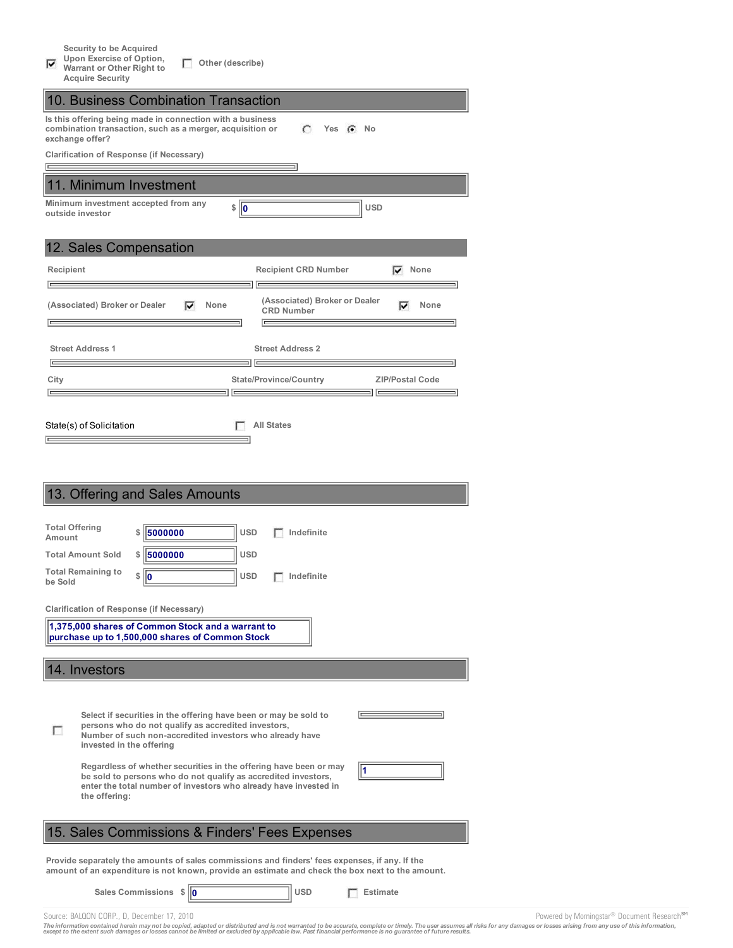| Security to be Acquired |  |  |  |  |
|-------------------------|--|--|--|--|
|-------------------------|--|--|--|--|

**Upon Exercise of Option, Other (describe)**

 $\overline{\blacktriangledown}$ **Warrant or Other Right to**

| <b>Acquire Security</b>                                                                                                                                                                                                                                                                                                                                                                                                                           |
|---------------------------------------------------------------------------------------------------------------------------------------------------------------------------------------------------------------------------------------------------------------------------------------------------------------------------------------------------------------------------------------------------------------------------------------------------|
| 10. Business Combination Transaction                                                                                                                                                                                                                                                                                                                                                                                                              |
| Is this offering being made in connection with a business<br>combination transaction, such as a merger, acquisition or<br>O<br>Yes $\left( \bullet \right)$<br>No<br>exchange offer?                                                                                                                                                                                                                                                              |
| <b>Clarification of Response (if Necessary)</b>                                                                                                                                                                                                                                                                                                                                                                                                   |
| 11. Minimum Investment                                                                                                                                                                                                                                                                                                                                                                                                                            |
| Minimum investment accepted from any<br>\$<br>$\ 0\ $<br><b>USD</b><br>outside investor                                                                                                                                                                                                                                                                                                                                                           |
| 12. Sales Compensation                                                                                                                                                                                                                                                                                                                                                                                                                            |
| Recipient<br><b>Recipient CRD Number</b><br>None<br>⊽                                                                                                                                                                                                                                                                                                                                                                                             |
| (Associated) Broker or Dealer<br>(Associated) Broker or Dealer<br>None<br>None<br>⊽<br>⊽<br><b>CRD Number</b>                                                                                                                                                                                                                                                                                                                                     |
| <b>Street Address 1</b><br><b>Street Address 2</b><br>∣⊏                                                                                                                                                                                                                                                                                                                                                                                          |
| City<br><b>State/Province/Country</b><br><b>ZIP/Postal Code</b>                                                                                                                                                                                                                                                                                                                                                                                   |
| <b>All States</b><br>State(s) of Solicitation<br>13. Offering and Sales Amounts                                                                                                                                                                                                                                                                                                                                                                   |
|                                                                                                                                                                                                                                                                                                                                                                                                                                                   |
| <b>Total Offering</b><br>5000000<br><b>USD</b><br>Indefinite<br>\$<br>Amount                                                                                                                                                                                                                                                                                                                                                                      |
| 5000000<br>USD<br>\$<br><b>Total Amount Sold</b>                                                                                                                                                                                                                                                                                                                                                                                                  |
| <b>Total Remaining to</b><br>\$<br>10<br>USD<br>Indefinite<br>be Sold                                                                                                                                                                                                                                                                                                                                                                             |
| <b>Clarification of Response (if Necessary)</b><br>1,375,000 shares of Common Stock and a warrant to                                                                                                                                                                                                                                                                                                                                              |
| purchase up to 1,500,000 shares of Common Stock                                                                                                                                                                                                                                                                                                                                                                                                   |
| 14. Investors                                                                                                                                                                                                                                                                                                                                                                                                                                     |
| Select if securities in the offering have been or may be sold to<br>persons who do not qualify as accredited investors,<br>Number of such non-accredited investors who already have<br>invested in the offering<br>Regardless of whether securities in the offering have been or may<br>l1<br>be sold to persons who do not qualify as accredited investors,<br>enter the total number of investors who already have invested in<br>the offering: |
| 15. Sales Commissions & Finders' Fees Expenses                                                                                                                                                                                                                                                                                                                                                                                                    |
| Provide separately the amounts of sales commissions and finders' fees expenses, if any. If the<br>amount of an expenditure is not known, provide an estimate and check the box next to the amount.                                                                                                                                                                                                                                                |
| Sales Commissions \$<br><b>USD</b><br>110<br><b>Estimate</b>                                                                                                                                                                                                                                                                                                                                                                                      |

Source: BALQON CORP., D, December 17, 2010<br>The information contained herein may not be copied, adapted or distributed and is not warranted to be accurate, complete or timely. The user assumes all risks for any damages or l